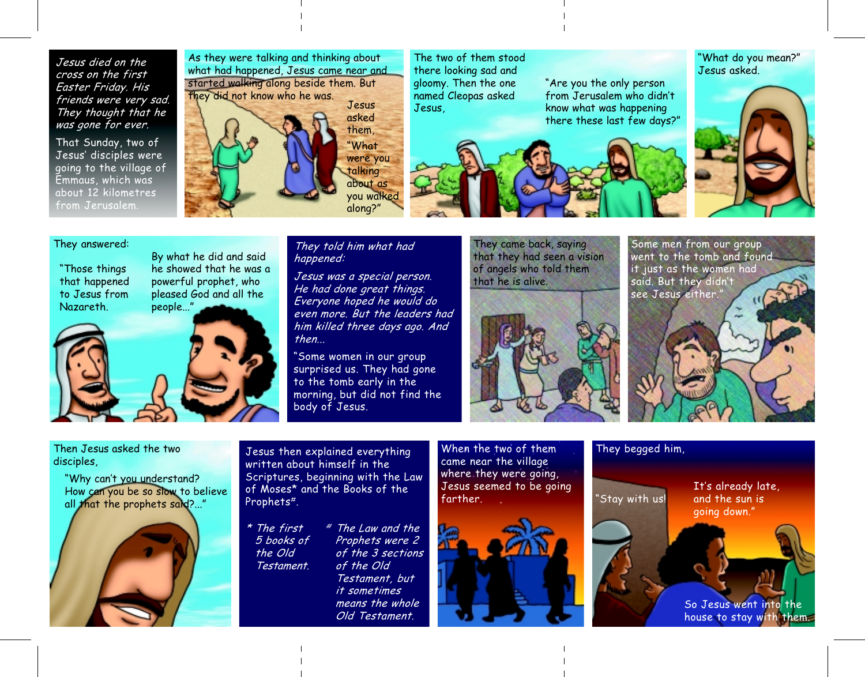Jesus died on the cross on the first Easter Friday. His friends were very sad. They thought that he was gone for ever.

That Sunday, two of Jesus' disciples were going to the village of Emmaus, which was about 12 kilometres from Jerusalem.

As they were talking and thinking about what had happened, Jesus came near and started walking along beside them. But they did not know who he was.

Jesus asked them. 'What were you talking about as you walked along?"

The two of them stood there looking sad and gloomy. Then the one named Cleopas asked Jesus,

there these last few days?"

"Are you the only person

from Jerusalem who didn't

know what was happening

"What do you mean?" Jesus asked.



## They answered:

"Those things that happened to Jesus from **Nazareth** 



By what he did and said

They told him what had happened:

Jesus was a special person. He had done great things. Everyone hoped he would do even more. But the leaders had him killed three days ago. And then...

"Some women in our group surprised us. They had gone to the tomb early in the morning, but did not find the body of Jesus.

They came back, saying that they had seen a vision of angels who told them that he is alive.



Some men from our group went to the tomb and found it just as the women had said. But they didn't see Jesus either."

## Then Jesus asked the two disciples.

"Why can't you understand? How can you be so slow to believe all that the prophets said?..."



Jesus then explained everything written about himself in the Scriptures, beginning with the Law of Moses\* and the Books of the Prophets<sup>#</sup>.

# The Law and the \* The first Prophets were 2 5 books of the Old of the 3 sections Testament. of the Old Testament, but *it sometimes* means the whole Old Testament.

When the two of them came near the village where they were going, Jesus seemed to be going farther



## They begged him,

'Stay with us!

It's already late. and the sun is going down."

So Jesus went into the house to stay with them.